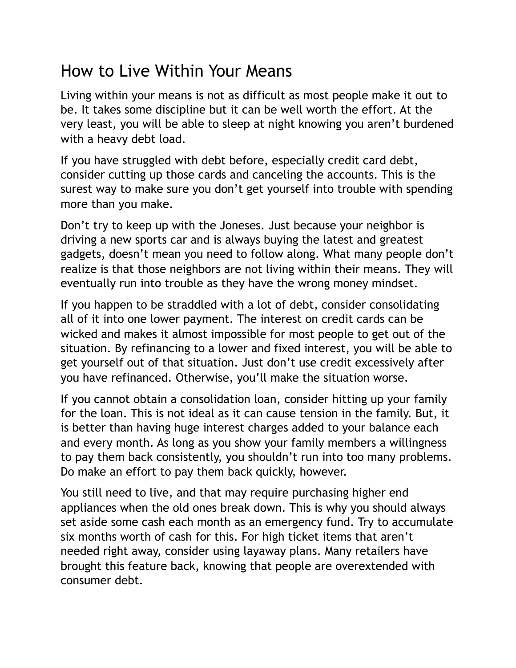## How to Live Within Your Means

Living within your means is not as difficult as most people make it out to be. It takes some discipline but it can be well worth the effort. At the very least, you will be able to sleep at night knowing you aren't burdened with a heavy debt load.

If you have struggled with debt before, especially credit card debt, consider cutting up those cards and canceling the accounts. This is the surest way to make sure you don't get yourself into trouble with spending more than you make.

Don't try to keep up with the Joneses. Just because your neighbor is driving a new sports car and is always buying the latest and greatest gadgets, doesn't mean you need to follow along. What many people don't realize is that those neighbors are not living within their means. They will eventually run into trouble as they have the wrong money mindset.

If you happen to be straddled with a lot of debt, consider consolidating all of it into one lower payment. The interest on credit cards can be wicked and makes it almost impossible for most people to get out of the situation. By refinancing to a lower and fixed interest, you will be able to get yourself out of that situation. Just don't use credit excessively after you have refinanced. Otherwise, you'll make the situation worse.

If you cannot obtain a consolidation loan, consider hitting up your family for the loan. This is not ideal as it can cause tension in the family. But, it is better than having huge interest charges added to your balance each and every month. As long as you show your family members a willingness to pay them back consistently, you shouldn't run into too many problems. Do make an effort to pay them back quickly, however.

You still need to live, and that may require purchasing higher end appliances when the old ones break down. This is why you should always set aside some cash each month as an emergency fund. Try to accumulate six months worth of cash for this. For high ticket items that aren't needed right away, consider using layaway plans. Many retailers have brought this feature back, knowing that people are overextended with consumer debt.